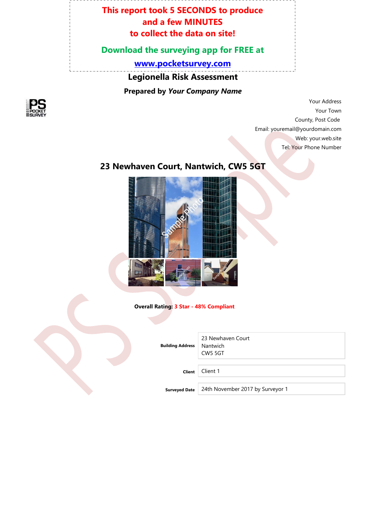#### **This report took 5 SECONDS to produce and a few MINUTES to collect the data on site!**

#### **Download the surveying app for FREE at**

**[www.pocketsurvey.com](http://www.pocketsurvey.com/)**

**Legionella Risk Assessment**

**Prepared by** *Your Company Name*



Your Address Your Town County, Post Code Email: youremail@yourdomain.com Web: your.web.site Tel: Your Phone Number

#### **23 Newhaven Court, Nantwich, CW5 5GT**



#### **Overall Rating: 3 Star - 48% Compliant**

**Building Address**

23 Newhaven Court Nantwich CW5 5GT

**Client** Client 1

**Surveyed Date** 24th November 2017 by Surveyor 1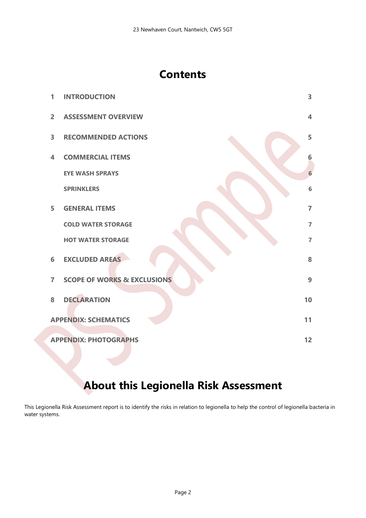## **Contents**

| 1                                  | <b>INTRODUCTION</b>                    | $\overline{\mathbf{3}}$ |
|------------------------------------|----------------------------------------|-------------------------|
| $\overline{2}$                     | <b>ASSESSMENT OVERVIEW</b>             | $\overline{\mathbf{4}}$ |
| $\overline{\mathbf{3}}$            | <b>RECOMMENDED ACTIONS</b>             | 5                       |
| 4                                  | <b>COMMERCIAL ITEMS</b>                | 6                       |
|                                    | <b>EYE WASH SPRAYS</b>                 | 6 <sup>1</sup>          |
|                                    | <b>SPRINKLERS</b>                      | $6\phantom{1}$          |
| 5                                  | <b>GENERAL ITEMS</b>                   | $\overline{7}$          |
|                                    | <b>COLD WATER STORAGE</b>              | $\overline{7}$          |
|                                    | <b>HOT WATER STORAGE</b>               | $\overline{7}$          |
| 6                                  | <b>EXCLUDED AREAS</b>                  | 8                       |
| $\overline{7}$                     | <b>SCOPE OF WORKS &amp; EXCLUSIONS</b> | 9                       |
| 8                                  | <b>DECLARATION</b>                     | 10                      |
|                                    | <b>APPENDIX: SCHEMATICS</b>            | 11                      |
| <b>APPENDIX: PHOTOGRAPHS</b><br>12 |                                        |                         |

# **About this Legionella Risk Assessment**

This Legionella Risk Assessment report is to identify the risks in relation to legionella to help the control of legionella bacteria in water systems.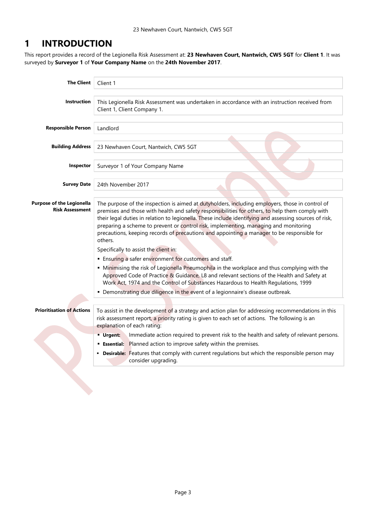#### <span id="page-2-0"></span>**1 INTRODUCTION**

This report provides a record of the Legionella Risk Assessment at: **23 Newhaven Court, Nantwich, CW5 5GT** for **Client 1**. It was surveyed by **Surveyor 1** of **Your Company Name** on the **24th November 2017**.

| <b>The Client</b>                                          | Client 1                                                                                                                                                                                                                                                                                                                                                                                                                                                                                                      |  |  |
|------------------------------------------------------------|---------------------------------------------------------------------------------------------------------------------------------------------------------------------------------------------------------------------------------------------------------------------------------------------------------------------------------------------------------------------------------------------------------------------------------------------------------------------------------------------------------------|--|--|
| Instruction                                                | This Legionella Risk Assessment was undertaken in accordance with an instruction received from<br>Client 1, Client Company 1.                                                                                                                                                                                                                                                                                                                                                                                 |  |  |
| <b>Responsible Person</b>                                  | Landlord                                                                                                                                                                                                                                                                                                                                                                                                                                                                                                      |  |  |
| <b>Building Address</b>                                    | 23 Newhaven Court, Nantwich, CW5 5GT                                                                                                                                                                                                                                                                                                                                                                                                                                                                          |  |  |
| Inspector                                                  | Surveyor 1 of Your Company Name                                                                                                                                                                                                                                                                                                                                                                                                                                                                               |  |  |
| <b>Survey Date</b>                                         | 24th November 2017                                                                                                                                                                                                                                                                                                                                                                                                                                                                                            |  |  |
| <b>Purpose of the Legionella</b><br><b>Risk Assessment</b> | The purpose of the inspection is aimed at dutyholders, including employers, those in control of<br>premises and those with health and safety responsibilities for others, to help them comply with<br>their legal duties in relation to legionella. These include identifying and assessing sources of risk,<br>preparing a scheme to prevent or control risk, implementing, managing and monitoring<br>precautions, keeping records of precautions and appointing a manager to be responsible for<br>others. |  |  |
|                                                            | Specifically to assist the client in:                                                                                                                                                                                                                                                                                                                                                                                                                                                                         |  |  |
|                                                            | <b>Ensuring a safer environment for customers and staff.</b>                                                                                                                                                                                                                                                                                                                                                                                                                                                  |  |  |
|                                                            | • Minimising the risk of Legionella Pneumophila in the workplace and thus complying with the<br>Approved Code of Practice & Guidance, L8 and relevant sections of the Health and Safety at<br>Work Act, 1974 and the Control of Substances Hazardous to Health Regulations, 1999                                                                                                                                                                                                                              |  |  |
|                                                            | • Demonstrating due diligence in the event of a legionnaire's disease outbreak.                                                                                                                                                                                                                                                                                                                                                                                                                               |  |  |
| <b>Prioritisation of Actions</b>                           | To assist in the development of a strategy and action plan for addressing recommendations in this<br>risk assessment report, a priority rating is given to each set of actions. The following is an<br>explanation of each rating:                                                                                                                                                                                                                                                                            |  |  |
|                                                            | Immediate action required to prevent risk to the health and safety of relevant persons.<br><b>Urgent:</b>                                                                                                                                                                                                                                                                                                                                                                                                     |  |  |
|                                                            | <b>Essential:</b> Planned action to improve safety within the premises.                                                                                                                                                                                                                                                                                                                                                                                                                                       |  |  |
|                                                            | <b>- Desirable:</b> Features that comply with current regulations but which the responsible person may<br>consider upgrading.                                                                                                                                                                                                                                                                                                                                                                                 |  |  |
|                                                            |                                                                                                                                                                                                                                                                                                                                                                                                                                                                                                               |  |  |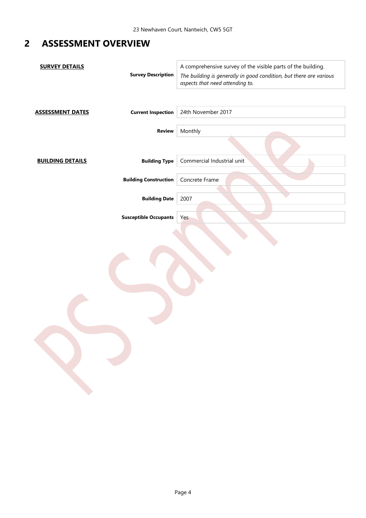#### <span id="page-3-0"></span>**2 ASSESSMENT OVERVIEW**

| <b>SURVEY DETAILS</b>   | <b>Survey Description</b>    | A comprehensive survey of the visible parts of the building.<br>The building is generally in good condition, but there are various<br>aspects that need attending to. |
|-------------------------|------------------------------|-----------------------------------------------------------------------------------------------------------------------------------------------------------------------|
| <b>ASSESSMENT DATES</b> | <b>Current Inspection</b>    | 24th November 2017                                                                                                                                                    |
|                         | <b>Review</b>                | Monthly                                                                                                                                                               |
| <b>BUILDING DETAILS</b> | <b>Building Type</b>         | Commercial Industrial unit                                                                                                                                            |
|                         | <b>Building Construction</b> | Concrete Frame                                                                                                                                                        |
|                         | <b>Building Date</b>         | 2007                                                                                                                                                                  |
|                         | <b>Susceptible Occupants</b> | Yes                                                                                                                                                                   |
|                         |                              |                                                                                                                                                                       |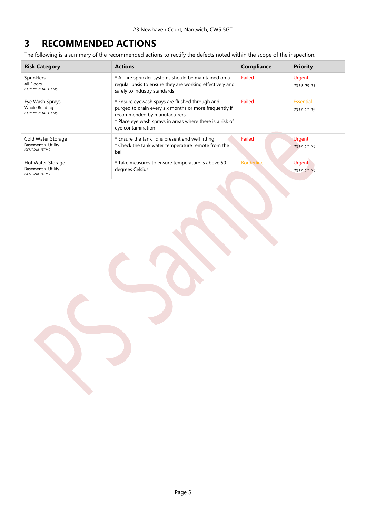#### <span id="page-4-0"></span>**3 RECOMMENDED ACTIONS**

The following is a summary of the recommended actions to rectify the defects noted within the scope of the inspection.

| <b>Risk Category</b>                                             | <b>Actions</b>                                                                                                                                                                                                             | Compliance        | <b>Priority</b>                   |
|------------------------------------------------------------------|----------------------------------------------------------------------------------------------------------------------------------------------------------------------------------------------------------------------------|-------------------|-----------------------------------|
| Sprinklers<br>All Floors<br><b>COMMERCIAL ITEMS</b>              | * All fire sprinkler systems should be maintained on a<br>regular basis to ensure they are working effectively and<br>safely to industry standards                                                                         | Failed            | Urgent<br>$2019 - 03 - 11$        |
| Eye Wash Sprays<br>Whole Building<br><b>COMMERCIAL ITEMS</b>     | * Ensure eyewash spays are flushed through and<br>purged to drain every six months or more frequently if<br>recommended by manufacturers<br>* Place eye wash sprays in areas where there is a risk of<br>eye contamination | Failed            | Essential<br>$2017 - 11 - 19$     |
| Cold Water Storage<br>Basement > Utility<br><b>GENERAL ITEMS</b> | * Ensure the tank lid is present and well fitting<br>* Check the tank water temperature remote from the<br>ball                                                                                                            | Failed            | <b>Urgent</b><br>$2017 - 11 - 24$ |
| Hot Water Storage<br>Basement > Utility<br><b>GENERAL ITEMS</b>  | * Take measures to ensure temperature is above 50<br>degrees Celsius                                                                                                                                                       | <b>Borderline</b> | Urgent<br>$2017 - 11 - 24$        |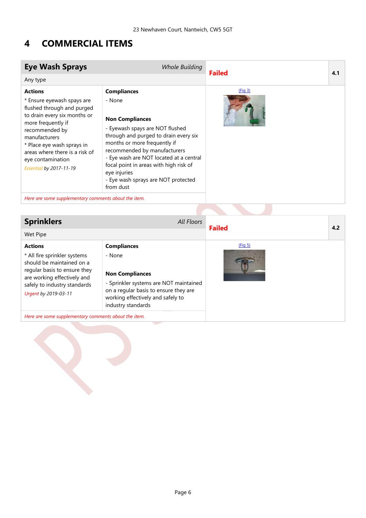#### <span id="page-5-0"></span>**4 COMMERCIAL ITEMS**

<span id="page-5-3"></span><span id="page-5-1"></span>

| <b>Eye Wash Sprays</b>                                                                                                                                                                                                                                                                     | <b>Whole Building</b>                                                                                                                                                                                                                                                                                                                                       | <b>Failed</b>       | 4.1 |
|--------------------------------------------------------------------------------------------------------------------------------------------------------------------------------------------------------------------------------------------------------------------------------------------|-------------------------------------------------------------------------------------------------------------------------------------------------------------------------------------------------------------------------------------------------------------------------------------------------------------------------------------------------------------|---------------------|-----|
| Any type                                                                                                                                                                                                                                                                                   |                                                                                                                                                                                                                                                                                                                                                             |                     |     |
| <b>Actions</b><br>* Ensure eyewash spays are<br>flushed through and purged<br>to drain every six months or<br>more frequently if<br>recommended by<br>manufacturers<br>* Place eye wash sprays in<br>areas where there is a risk of<br>eye contamination<br><b>Essential by 2017-11-19</b> | <b>Compliances</b><br>- None<br><b>Non Compliances</b><br>- Eyewash spays are NOT flushed<br>through and purged to drain every six<br>months or more frequently if<br>recommended by manufacturers<br>- Eye wash are NOT located at a central<br>focal point in areas with high risk of<br>eye injuries<br>- Eye wash sprays are NOT protected<br>from dust | (Fiq <sub>3</sub> ) |     |
| Here are some supplementary comments about the item.                                                                                                                                                                                                                                       |                                                                                                                                                                                                                                                                                                                                                             |                     |     |
|                                                                                                                                                                                                                                                                                            |                                                                                                                                                                                                                                                                                                                                                             |                     |     |
| <b>Sprinklers</b>                                                                                                                                                                                                                                                                          | <b>All Floors</b>                                                                                                                                                                                                                                                                                                                                           | <b>Failed</b>       | 4.2 |
| Wet Pipe                                                                                                                                                                                                                                                                                   |                                                                                                                                                                                                                                                                                                                                                             |                     |     |

<span id="page-5-4"></span><span id="page-5-2"></span>

| <b>Actions</b><br>* All fire sprinkler systems<br>should be maintained on a<br>regular basis to ensure they | <b>Compliances</b><br>- None                                                                                                                                         | (Fiq 5) |  |
|-------------------------------------------------------------------------------------------------------------|----------------------------------------------------------------------------------------------------------------------------------------------------------------------|---------|--|
| are working effectively and<br>safely to industry standards<br>Urgent by 2019-03-11                         | <b>Non Compliances</b><br>- Sprinkler systems are NOT maintained<br>on a regular basis to ensure they are<br>working effectively and safely to<br>industry standards |         |  |
| Here are some supplementary comments about the item.                                                        |                                                                                                                                                                      |         |  |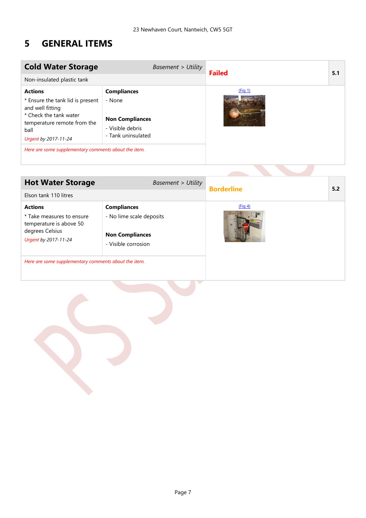#### <span id="page-6-0"></span>**5 GENERAL ITEMS**

<span id="page-6-3"></span><span id="page-6-1"></span>

| <b>Cold Water Storage</b>                                                                                                                                                                                               | <b>Basement &gt; Utility</b>                                                                     | <b>Failed</b> | 5.1 |
|-------------------------------------------------------------------------------------------------------------------------------------------------------------------------------------------------------------------------|--------------------------------------------------------------------------------------------------|---------------|-----|
| Non-insulated plastic tank                                                                                                                                                                                              |                                                                                                  |               |     |
| <b>Actions</b><br>* Ensure the tank lid is present<br>and well fitting<br>* Check the tank water<br>temperature remote from the<br>ball<br>Urgent by 2017-11-24<br>Here are some supplementary comments about the item. | <b>Compliances</b><br>- None<br><b>Non Compliances</b><br>- Visible debris<br>- Tank uninsulated | (Fiq 1)       |     |

<span id="page-6-4"></span><span id="page-6-2"></span>

| <b>Hot Water Storage</b>                                                                                          | <b>Basement &gt; Utility</b>                                                                    | <b>Borderline</b> | 5.2 |
|-------------------------------------------------------------------------------------------------------------------|-------------------------------------------------------------------------------------------------|-------------------|-----|
| Elson tank 110 litres                                                                                             |                                                                                                 |                   |     |
| <b>Actions</b><br>* Take measures to ensure<br>temperature is above 50<br>degrees Celsius<br>Urgent by 2017-11-24 | <b>Compliances</b><br>- No lime scale deposits<br><b>Non Compliances</b><br>- Visible corrosion | (Fiq 4)           |     |
| Here are some supplementary comments about the item.                                                              |                                                                                                 |                   |     |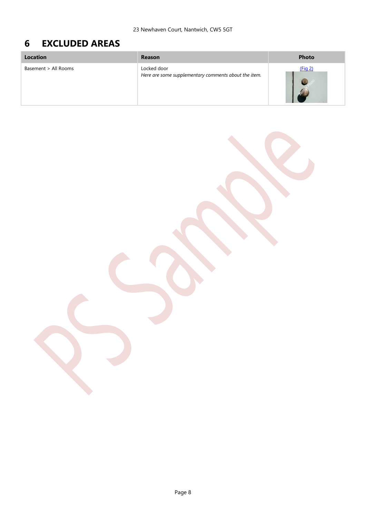## <span id="page-7-1"></span><span id="page-7-0"></span>**6 EXCLUDED AREAS**

| Location             | Reason                                                              | <b>Photo</b> |
|----------------------|---------------------------------------------------------------------|--------------|
| Basement > All Rooms | Locked door<br>Here are some supplementary comments about the item. | (Fig 2)      |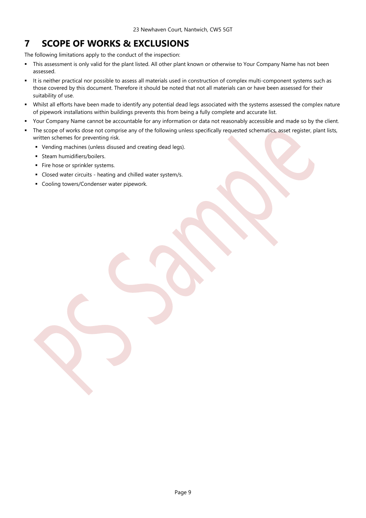#### <span id="page-8-0"></span>**7 SCOPE OF WORKS & EXCLUSIONS**

The following limitations apply to the conduct of the inspection:

- This assessment is only valid for the plant listed. All other plant known or otherwise to Your Company Name has not been assessed.
- It is neither practical nor possible to assess all materials used in construction of complex multi-component systems such as those covered by this document. Therefore it should be noted that not all materials can or have been assessed for their suitability of use.
- Whilst all efforts have been made to identify any potential dead legs associated with the systems assessed the complex nature of pipework installations within buildings prevents this from being a fully complete and accurate list.
- Your Company Name cannot be accountable for any information or data not reasonably accessible and made so by the client.
- The scope of works dose not comprise any of the following unless specifically requested schematics, asset register, plant lists, written schemes for preventing risk.
	- Vending machines (unless disused and creating dead legs).
	- **Steam humidifiers/boilers.**
	- Fire hose or sprinkler systems.
	- Closed water circuits heating and chilled water system/s.
	- **Cooling towers/Condenser water pipework.**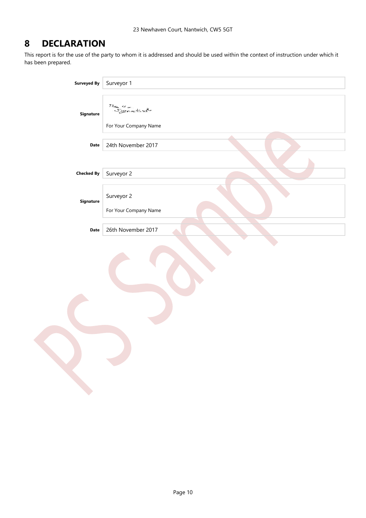#### <span id="page-9-0"></span>**8 DECLARATION**

This report is for the use of the party to whom it is addressed and should be used within the context of instruction under which it has been prepared.

| <b>Surveyed By</b> | Surveyor 1                                      |
|--------------------|-------------------------------------------------|
| Signature          | This is a<br>Signature<br>For Your Company Name |
| Date               | 24th November 2017                              |
| <b>Checked By</b>  | Surveyor 2                                      |
| Signature          | Surveyor 2<br>For Your Company Name             |
| Date               | 26th November 2017                              |
|                    |                                                 |
|                    |                                                 |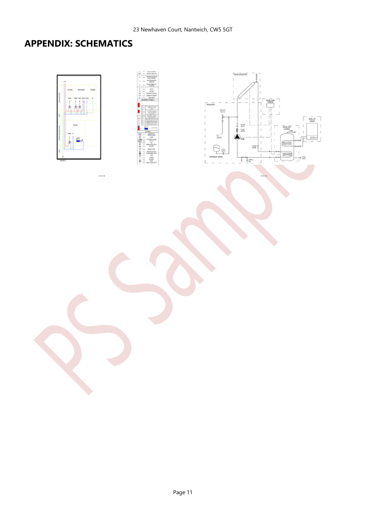## <span id="page-10-0"></span>**APPENDIX: SCHEMATICS**